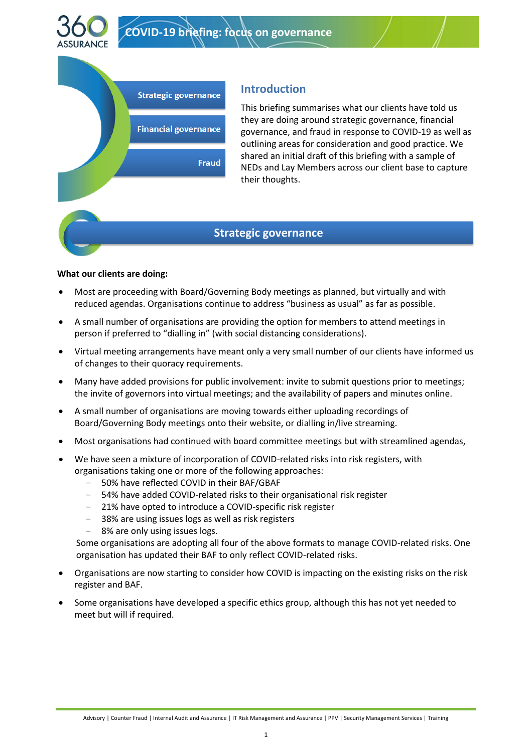



# **Introduction**

This briefing summarises what our clients have told us they are doing around strategic governance, financial governance, and fraud in response to COVID-19 as well as outlining areas for consideration and good practice. We shared an initial draft of this briefing with a sample of NEDs and Lay Members across our client base to capture their thoughts.

## **Strategic governance**

### **What our clients are doing:**

- Most are proceeding with Board/Governing Body meetings as planned, but virtually and with reduced agendas. Organisations continue to address "business as usual" as far as possible.
- A small number of organisations are providing the option for members to attend meetings in person if preferred to "dialling in" (with social distancing considerations).
- Virtual meeting arrangements have meant only a very small number of our clients have informed us of changes to their quoracy requirements.
- Many have added provisions for public involvement: invite to submit questions prior to meetings; the invite of governors into virtual meetings; and the availability of papers and minutes online.
- A small number of organisations are moving towards either uploading recordings of Board/Governing Body meetings onto their website, or dialling in/live streaming.
- Most organisations had continued with board committee meetings but with streamlined agendas,
- We have seen a mixture of incorporation of COVID-related risks into risk registers, with organisations taking one or more of the following approaches:
	- 50% have reflected COVID in their BAF/GBAF
	- 54% have added COVID-related risks to their organisational risk register
	- 21% have opted to introduce a COVID-specific risk register
	- 38% are using issues logs as well as risk registers
	- 8% are only using issues logs.

Some organisations are adopting all four of the above formats to manage COVID-related risks. One organisation has updated their BAF to only reflect COVID-related risks.

- Organisations are now starting to consider how COVID is impacting on the existing risks on the risk register and BAF.
- Some organisations have developed a specific ethics group, although this has not yet needed to meet but will if required.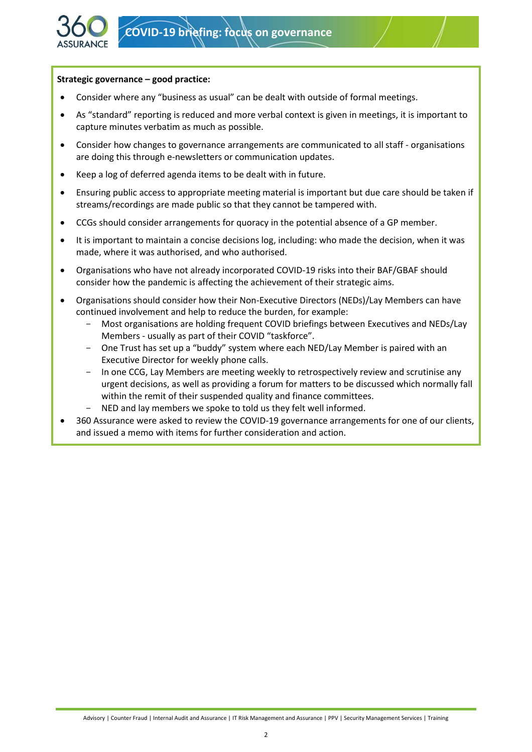

#### **Strategic governance – good practice:**

- Consider where any "business as usual" can be dealt with outside of formal meetings.
- As "standard" reporting is reduced and more verbal context is given in meetings, it is important to capture minutes verbatim as much as possible.
- Consider how changes to governance arrangements are communicated to all staff organisations are doing this through e-newsletters or communication updates.
- Keep a log of deferred agenda items to be dealt with in future.
- Ensuring public access to appropriate meeting material is important but due care should be taken if streams/recordings are made public so that they cannot be tampered with.
- CCGs should consider arrangements for quoracy in the potential absence of a GP member.
- It is important to maintain a concise decisions log, including: who made the decision, when it was made, where it was authorised, and who authorised.
- Organisations who have not already incorporated COVID-19 risks into their BAF/GBAF should consider how the pandemic is affecting the achievement of their strategic aims.
- Organisations should consider how their Non-Executive Directors (NEDs)/Lay Members can have continued involvement and help to reduce the burden, for example:
	- Most organisations are holding frequent COVID briefings between Executives and NEDs/Lay Members - usually as part of their COVID "taskforce".
	- One Trust has set up a "buddy" system where each NED/Lay Member is paired with an Executive Director for weekly phone calls.
	- In one CCG, Lay Members are meeting weekly to retrospectively review and scrutinise any urgent decisions, as well as providing a forum for matters to be discussed which normally fall within the remit of their suspended quality and finance committees.
	- NED and lay members we spoke to told us they felt well informed.
- 360 Assurance were asked to review the COVID-19 governance arrangements for one of our clients, and issued a memo with items for further consideration and action.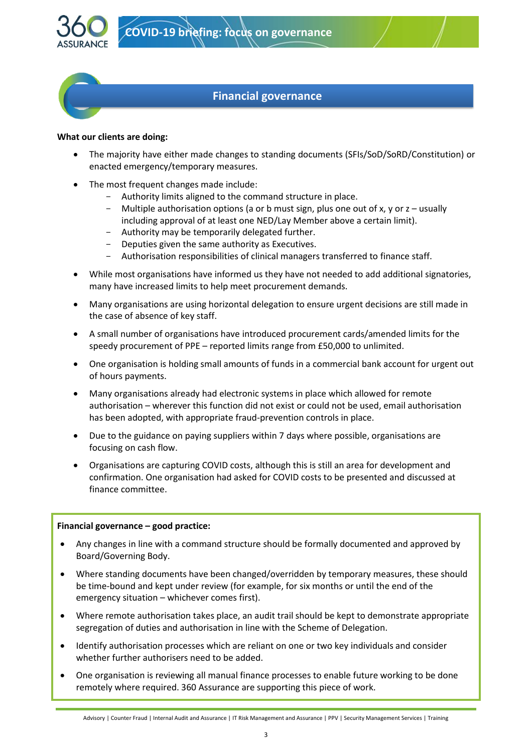

## **Financial governance**

### **What our clients are doing:**

- The majority have either made changes to standing documents (SFIs/SoD/SoRD/Constitution) or enacted emergency/temporary measures.
- The most frequent changes made include:
	- Authority limits aligned to the command structure in place.
	- Multiple authorisation options (a or b must sign, plus one out of x, y or z usually including approval of at least one NED/Lay Member above a certain limit).
	- Authority may be temporarily delegated further.
	- Deputies given the same authority as Executives.
	- Authorisation responsibilities of clinical managers transferred to finance staff.
- While most organisations have informed us they have not needed to add additional signatories, many have increased limits to help meet procurement demands.
- Many organisations are using horizontal delegation to ensure urgent decisions are still made in the case of absence of key staff.
- A small number of organisations have introduced procurement cards/amended limits for the speedy procurement of PPE – reported limits range from £50,000 to unlimited.
- One organisation is holding small amounts of funds in a commercial bank account for urgent out of hours payments.
- Many organisations already had electronic systems in place which allowed for remote authorisation – wherever this function did not exist or could not be used, email authorisation has been adopted, with appropriate fraud-prevention controls in place.
- Due to the guidance on paying suppliers within 7 days where possible, organisations are focusing on cash flow.
- Organisations are capturing COVID costs, although this is still an area for development and confirmation. One organisation had asked for COVID costs to be presented and discussed at finance committee.

### **Financial governance – good practice:**

- Any changes in line with a command structure should be formally documented and approved by Board/Governing Body.
- Where standing documents have been changed/overridden by temporary measures, these should be time-bound and kept under review (for example, for six months or until the end of the emergency situation – whichever comes first).
- Where remote authorisation takes place, an audit trail should be kept to demonstrate appropriate segregation of duties and authorisation in line with the Scheme of Delegation.
- Identify authorisation processes which are reliant on one or two key individuals and consider whether further authorisers need to be added.
- One organisation is reviewing all manual finance processes to enable future working to be done remotely where required. 360 Assurance are supporting this piece of work.